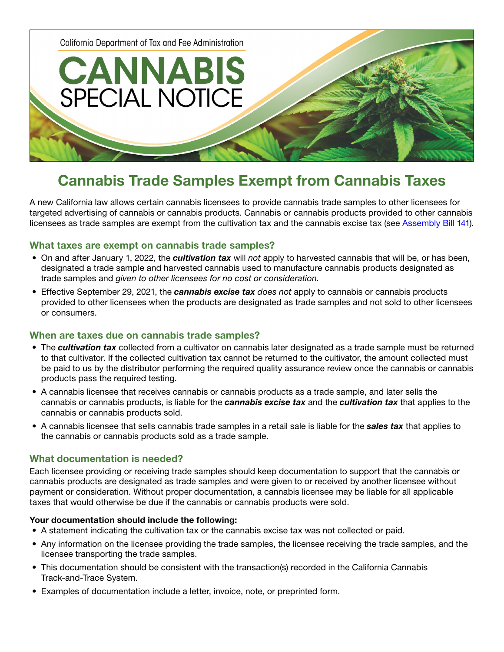California Department of Tax and Fee Administration

**CANNABIS** 

**SPECIAL NOTICE** 

# Cannabis Trade Samples Exempt from Cannabis Taxes

A new California law allows certain cannabis licensees to provide cannabis trade samples to other licensees for targeted advertising of cannabis or cannabis products. Cannabis or cannabis products provided to other cannabis licensees as trade samples are exempt from the cultivation tax and the cannabis excise tax (see [Assembly Bill 141\)](https://leginfo.legislature.ca.gov/faces/billNavClient.xhtml?bill_id=202120220AB141).

### What taxes are exempt on cannabis trade samples?

- On and after January 1, 2022, the *cultivation tax* will *not* apply to harvested cannabis that will be, or has been, designated a trade sample and harvested cannabis used to manufacture cannabis products designated as trade samples and *given to other licensees for no cost or consideration*.
- Effective September 29, 2021, the *cannabis excise tax does not* apply to cannabis or cannabis products provided to other licensees when the products are designated as trade samples and not sold to other licensees or consumers.

## When are taxes due on cannabis trade samples?

- The *cultivation tax* collected from a cultivator on cannabis later designated as a trade sample must be returned to that cultivator. If the collected cultivation tax cannot be returned to the cultivator, the amount collected must be paid to us by the distributor performing the required quality assurance review once the cannabis or cannabis products pass the required testing.
- A cannabis licensee that receives cannabis or cannabis products as a trade sample, and later sells the cannabis or cannabis products, is liable for the *cannabis excise tax* and the *cultivation tax* that applies to the cannabis or cannabis products sold.
- A cannabis licensee that sells cannabis trade samples in a retail sale is liable for the *sales tax* that applies to the cannabis or cannabis products sold as a trade sample.

#### What documentation is needed?

Each licensee providing or receiving trade samples should keep documentation to support that the cannabis or cannabis products are designated as trade samples and were given to or received by another licensee without payment or consideration. Without proper documentation, a cannabis licensee may be liable for all applicable taxes that would otherwise be due if the cannabis or cannabis products were sold.

#### Your documentation should include the following:

- A statement indicating the cultivation tax or the cannabis excise tax was not collected or paid.
- Any information on the licensee providing the trade samples, the licensee receiving the trade samples, and the licensee transporting the trade samples.
- This documentation should be consistent with the transaction(s) recorded in the California Cannabis Track-and-Trace System.
- Examples of documentation include a letter, invoice, note, or preprinted form.